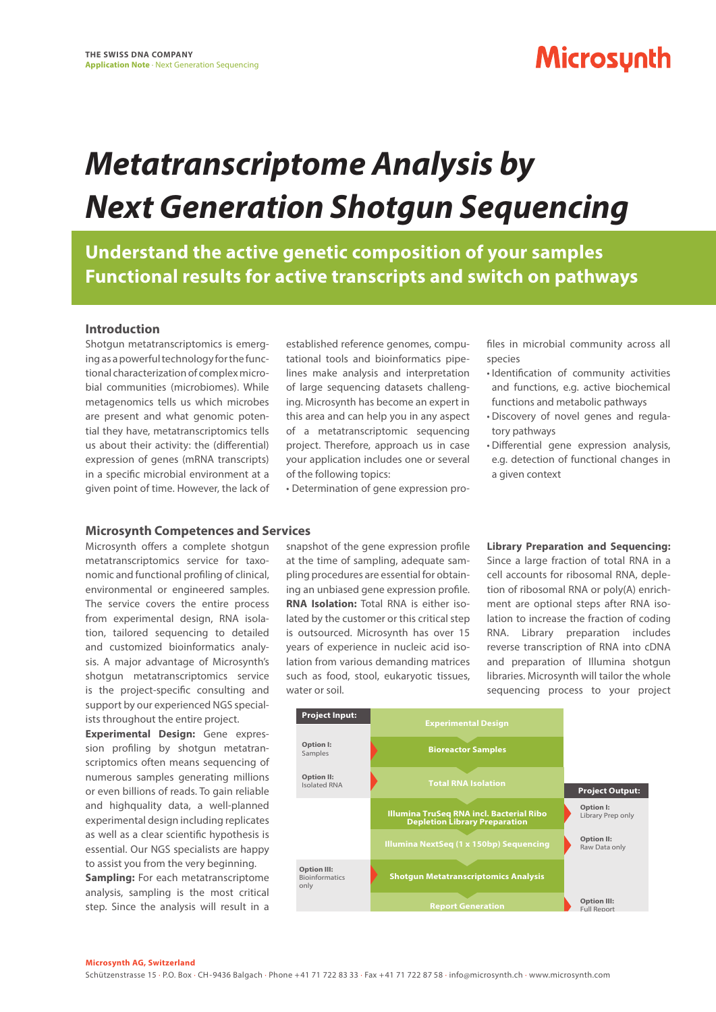## **Microsynth**

# *Metatranscriptome Analysis by Next Generation Shotgun Sequencing*

**Understand the active genetic composition of your samples Functional results for active transcripts and switch on pathways**

### **Introduction**

Shotgun metatranscriptomics is emerging as a powerful technology for the functional characterization of complex microbial communities (microbiomes). While metagenomics tells us which microbes are present and what genomic potential they have, metatranscriptomics tells us about their activity: the (differential) expression of genes (mRNA transcripts) in a specific microbial environment at a given point of time. However, the lack of

established reference genomes, computational tools and bioinformatics pipelines make analysis and interpretation of large sequencing datasets challenging. Microsynth has become an expert in this area and can help you in any aspect of a metatranscriptomic sequencing project. Therefore, approach us in case your application includes one or several of the following topics:

• Determination of gene expression pro-

files in microbial community across all species

- Identification of community activities and functions, e.g. active biochemical functions and metabolic pathways
- Discovery of novel genes and regulatory pathways
- Differential gene expression analysis, e.g. detection of functional changes in a given context

## **Microsynth Competences and Services**

Microsynth offers a complete shotgun metatranscriptomics service for taxonomic and functional profiling of clinical, environmental or engineered samples. The service covers the entire process from experimental design, RNA isolation, tailored sequencing to detailed and customized bioinformatics analysis. A major advantage of Microsynth's shotgun metatranscriptomics service is the project-specific consulting and support by our experienced NGS specialists throughout the entire project.

**Experimental Design:** Gene expression profiling by shotgun metatranscriptomics often means sequencing of numerous samples generating millions or even billions of reads. To gain reliable and highquality data, a well-planned experimental design including replicates as well as a clear scientific hypothesis is essential. Our NGS specialists are happy to assist you from the very beginning.

**Sampling:** For each metatranscriptome analysis, sampling is the most critical step. Since the analysis will result in a

snapshot of the gene expression profile at the time of sampling, adequate sampling procedures are essential for obtaining an unbiased gene expression profile. **RNA Isolation:** Total RNA is either isolated by the customer or this critical step is outsourced. Microsynth has over 15 years of experience in nucleic acid isolation from various demanding matrices such as food, stool, eukaryotic tissues, water or soil.

**Library Preparation and Sequencing:**  Since a large fraction of total RNA in a cell accounts for ribosomal RNA, depletion of ribosomal RNA or poly(A) enrichment are optional steps after RNA isolation to increase the fraction of coding RNA. Library preparation includes reverse transcription of RNA into cDNA and preparation of Illumina shotgun libraries. Microsynth will tailor the whole sequencing process to your project



#### **Microsynth AG, Switzerland**